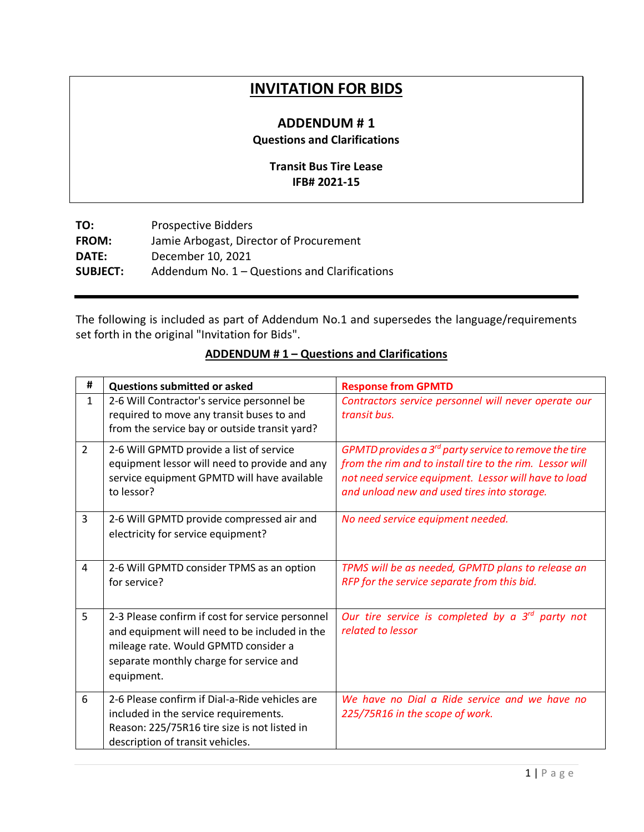## **INVITATION FOR BIDS**

## **ADDENDUM # 1 Questions and Clarifications**

## **Transit Bus Tire Lease IFB# 2021-15**

| <b>Prospective Bidders</b>                    |
|-----------------------------------------------|
| Jamie Arbogast, Director of Procurement       |
| December 10, 2021                             |
| Addendum No. 1 – Questions and Clarifications |
|                                               |

The following is included as part of Addendum No.1 and supersedes the language/requirements set forth in the original "Invitation for Bids".

| #              | <b>Questions submitted or asked</b>                                                                                                                                                                | <b>Response from GPMTD</b>                                                                                                                                                                                                    |
|----------------|----------------------------------------------------------------------------------------------------------------------------------------------------------------------------------------------------|-------------------------------------------------------------------------------------------------------------------------------------------------------------------------------------------------------------------------------|
| $\mathbf{1}$   | 2-6 Will Contractor's service personnel be<br>required to move any transit buses to and<br>from the service bay or outside transit yard?                                                           | Contractors service personnel will never operate our<br>transit bus.                                                                                                                                                          |
| $\overline{2}$ | 2-6 Will GPMTD provide a list of service<br>equipment lessor will need to provide and any<br>service equipment GPMTD will have available<br>to lessor?                                             | GPMTD provides a $3^{rd}$ party service to remove the tire<br>from the rim and to install tire to the rim. Lessor will<br>not need service equipment. Lessor will have to load<br>and unload new and used tires into storage. |
| 3              | 2-6 Will GPMTD provide compressed air and<br>electricity for service equipment?                                                                                                                    | No need service equipment needed.                                                                                                                                                                                             |
| 4              | 2-6 Will GPMTD consider TPMS as an option<br>for service?                                                                                                                                          | TPMS will be as needed, GPMTD plans to release an<br>RFP for the service separate from this bid.                                                                                                                              |
| 5              | 2-3 Please confirm if cost for service personnel<br>and equipment will need to be included in the<br>mileage rate. Would GPMTD consider a<br>separate monthly charge for service and<br>equipment. | Our tire service is completed by a $3^{rd}$ party not<br>related to lessor                                                                                                                                                    |
| 6              | 2-6 Please confirm if Dial-a-Ride vehicles are<br>included in the service requirements.<br>Reason: 225/75R16 tire size is not listed in<br>description of transit vehicles.                        | We have no Dial a Ride service and we have no<br>225/75R16 in the scope of work.                                                                                                                                              |

## **ADDENDUM # 1 – Questions and Clarifications**